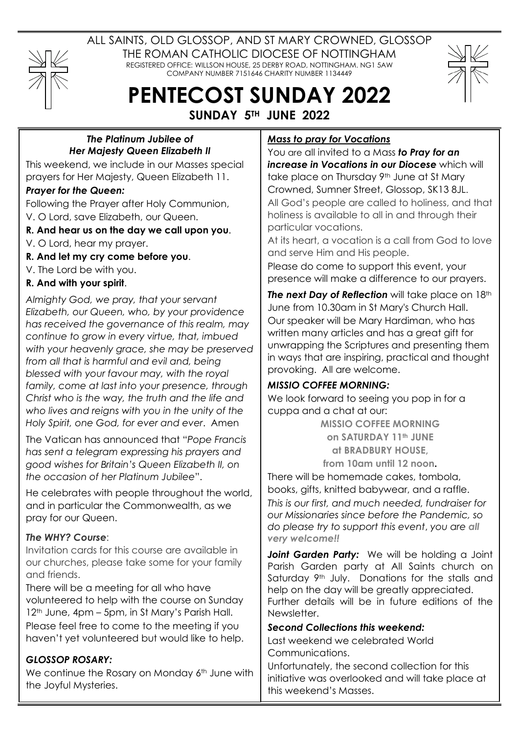

ALL SAINTS, OLD GLOSSOP, AND ST MARY CROWNED, GLOSSOP THE ROMAN CATHOLIC DIOCESE OF NOTTINGHAM REGISTERED OFFICE: WILLSON HOUSE, 25 DERBY ROAD, NOTTINGHAM. NG1 5AW COMPANY NUMBER 7151646 CHARITY NUMBER 1134449



# **PENTECOST SUNDAY 2022 SUNDAY 5TH JUNE 2022**

#### *The Platinum Jubilee of Her Majesty Queen Elizabeth II*

This weekend, we include in our Masses special prayers for Her Majesty, Queen Elizabeth 11.

### *Prayer for the Queen:*

Following the Prayer after Holy Communion, V. O Lord, save Elizabeth, our Queen.

- **R. And hear us on the day we call upon you**.
- V. O Lord, hear my prayer.
- **R. And let my cry come before you**.
- V. The Lord be with you.

### **R. And with your spirit**.

*Almighty God, we pray, that your servant Elizabeth, our Queen, who, by your providence has received the governance of this realm, may continue to grow in every virtue, that, imbued with your heavenly grace, she may be preserved from all that is harmful and evil and, being blessed with your favour may, with the royal family, come at last into your presence, through Christ who is the way, the truth and the life and who lives and reigns with you in the unity of the Holy Spirit, one God, for ever and ever*. Amen

The Vatican has announced that "*Pope Francis has sent a telegram expressing his prayers and good wishes for Britain's Queen Elizabeth II, on the occasion of her Platinum Jubilee*".

He celebrates with people throughout the world, and in particular the Commonwealth, as we pray for our Queen.

#### *The WHY? Course*:

Invitation cards for this course are available in our churches, please take some for your family and friends.

There will be a meeting for all who have volunteered to help with the course on Sunday 12<sup>th</sup> June, 4pm – 5pm, in St Mary's Parish Hall. Please feel free to come to the meeting if you haven't yet volunteered but would like to help.

# *GLOSSOP ROSARY:*

We continue the Rosary on Monday 6<sup>th</sup> June with the Joyful Mysteries.

#### *Mass to pray for Vocations*

You are all invited to a Mass *to Pray for an increase in Vocations in our Diocese* which will take place on Thursday 9<sup>th</sup> June at St Mary Crowned, Sumner Street, Glossop, SK13 8JL. All God's people are called to holiness, and that holiness is available to all in and through their particular vocations.

At its heart, a vocation is a call from God to love and serve Him and His people.

Please do come to support this event, your presence will make a difference to our prayers.

**The next Day of Reflection** will take place on 18th June from 10.30am in St Mary's Church Hall. Our speaker will be Mary Hardiman, who has written many articles and has a great gift for unwrapping the Scriptures and presenting them in ways that are inspiring, practical and thought provoking. All are welcome.

# *MISSIO COFFEE MORNING:*

We look forward to seeing you pop in for a cuppa and a chat at our:

**MISSIO COFFEE MORNING on SATURDAY 11th JUNE at BRADBURY HOUSE,**

**from 10am until 12 noon.**

There will be homemade cakes, tombola, books, gifts, knitted babywear, and a raffle. *This is our first, and much needed, fundraiser for our Missionaries since before the Pandemic, so do please try to support this event*, *you are all very welcome!!*

*Joint Garden Party:* We will be holding a Joint Parish Garden party at All Saints church on Saturday 9<sup>th</sup> July. Donations for the stalls and help on the day will be greatly appreciated. Further details will be in future editions of the Newsletter.

#### *Second Collections this weekend:*

Last weekend we celebrated World Communications.

Unfortunately, the second collection for this initiative was overlooked and will take place at this weekend's Masses.